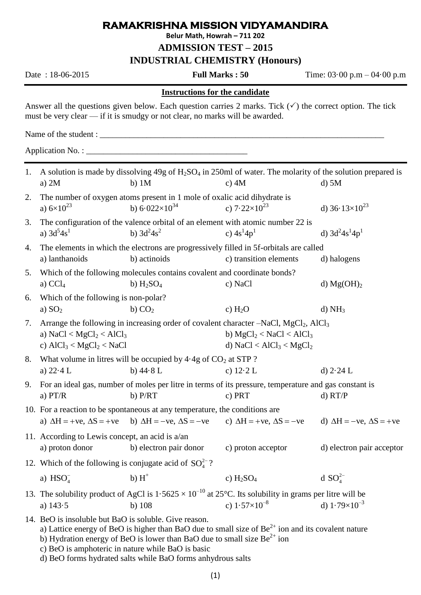## **RAMAKRISHNA MISSION VIDYAMANDIRA**

**Belur Math, Howrah – 711 202**

**ADMISSION TEST – 2015**

**INDUSTRIAL CHEMISTRY (Honours)**

Date : 18-06-2015 **Full Marks : 50** Time: 03·00 p.m – 04·00 p.m

## **Instructions for the candidate**

Answer all the questions given below. Each question carries 2 marks. Tick  $(\checkmark)$  the correct option. The tick must be very clear — if it is smudgy or not clear, no marks will be awarded.

Name of the student :

Application No. : \_\_\_\_\_\_\_\_\_\_\_\_\_\_\_\_\_\_\_\_\_\_\_\_\_\_\_\_\_\_\_\_\_\_\_\_\_\_

| 1. |                                                                                                                                                                                                                                                                                                                                                                     | A solution is made by dissolving $49g$ of $H_2SO_4$ in 250ml of water. The molarity of the solution prepared is |                                        |                                        |  |  |
|----|---------------------------------------------------------------------------------------------------------------------------------------------------------------------------------------------------------------------------------------------------------------------------------------------------------------------------------------------------------------------|-----------------------------------------------------------------------------------------------------------------|----------------------------------------|----------------------------------------|--|--|
|    | a) $2M$                                                                                                                                                                                                                                                                                                                                                             | $b)$ 1M                                                                                                         | c) $4M$                                | $d$ ) 5 $M$                            |  |  |
| 2. | a) $6 \times 10^{23}$                                                                                                                                                                                                                                                                                                                                               | The number of oxygen atoms present in 1 mole of oxalic acid dihydrate is<br>b) $6.022\times10^{34}$             | c) $7.22\times10^{23}$                 | d) $36.13\times10^{23}$                |  |  |
|    |                                                                                                                                                                                                                                                                                                                                                                     |                                                                                                                 |                                        |                                        |  |  |
| 3. | a) $3d^54s^1$                                                                                                                                                                                                                                                                                                                                                       | The configuration of the valence orbital of an element with atomic number 22 is<br>b) $3d^2 4s^2$               | c) $4s^14p^1$                          | d) $3d^2 4s^1 4p^1$                    |  |  |
|    |                                                                                                                                                                                                                                                                                                                                                                     |                                                                                                                 |                                        |                                        |  |  |
| 4. | a) lanthanoids                                                                                                                                                                                                                                                                                                                                                      | The elements in which the electrons are progressively filled in 5f-orbitals are called<br>b) actinoids          | c) transition elements                 | d) halogens                            |  |  |
|    |                                                                                                                                                                                                                                                                                                                                                                     |                                                                                                                 |                                        |                                        |  |  |
| 5. |                                                                                                                                                                                                                                                                                                                                                                     | Which of the following molecules contains covalent and coordinate bonds?                                        |                                        |                                        |  |  |
|    | a) $CCl4$                                                                                                                                                                                                                                                                                                                                                           | b) $H_2SO_4$                                                                                                    | c) NaCl                                | d) $Mg(OH)2$                           |  |  |
| 6. | Which of the following is non-polar?                                                                                                                                                                                                                                                                                                                                |                                                                                                                 |                                        |                                        |  |  |
|    | a) $SO2$                                                                                                                                                                                                                                                                                                                                                            | b) CO <sub>2</sub>                                                                                              | c) $H_2O$                              | d) NH <sub>3</sub>                     |  |  |
| 7. | Arrange the following in increasing order of covalent character –NaCl, MgCl <sub>2</sub> , AlCl <sub>3</sub>                                                                                                                                                                                                                                                        |                                                                                                                 |                                        |                                        |  |  |
|    | a) $NaCl < MgCl2 < AlCl3$                                                                                                                                                                                                                                                                                                                                           |                                                                                                                 | b) $MgCl_2 < NaCl < AlCl_3$            |                                        |  |  |
|    | c) $AICl_3 < MgCl_2 < NaCl$                                                                                                                                                                                                                                                                                                                                         |                                                                                                                 | d) $NaCl < AlCl3 < MgCl2$              |                                        |  |  |
| 8. | What volume in litres will be occupied by $4.4g$ of $CO2$ at STP?                                                                                                                                                                                                                                                                                                   |                                                                                                                 |                                        |                                        |  |  |
|    | a) $22.4 L$                                                                                                                                                                                                                                                                                                                                                         | b) $44.8 L$                                                                                                     | c) $12.2 L$                            | d) $2.24 L$                            |  |  |
| 9. | For an ideal gas, number of moles per litre in terms of its pressure, temperature and gas constant is                                                                                                                                                                                                                                                               |                                                                                                                 |                                        |                                        |  |  |
|    | a) $PT/R$                                                                                                                                                                                                                                                                                                                                                           | $b)$ $P/RT$                                                                                                     | c) PRT                                 | d) RT/P                                |  |  |
|    | 10. For a reaction to be spontaneous at any temperature, the conditions are                                                                                                                                                                                                                                                                                         |                                                                                                                 |                                        |                                        |  |  |
|    | a) $\Delta H = +ve$ , $\Delta S = +ve$                                                                                                                                                                                                                                                                                                                              | b) $\Delta H = -ve$ , $\Delta S = -ve$                                                                          | c) $\Delta H = +ve$ , $\Delta S = -ve$ | d) $\Delta H = -ve$ , $\Delta S = +ve$ |  |  |
|    | 11. According to Lewis concept, an acid is a/an                                                                                                                                                                                                                                                                                                                     |                                                                                                                 |                                        |                                        |  |  |
|    | a) proton donor                                                                                                                                                                                                                                                                                                                                                     | b) electron pair donor                                                                                          | c) proton acceptor                     | d) electron pair acceptor              |  |  |
|    | 12. Which of the following is conjugate acid of $SO_4^{2-}$ ?                                                                                                                                                                                                                                                                                                       |                                                                                                                 |                                        |                                        |  |  |
|    | a) $HSO4^-$                                                                                                                                                                                                                                                                                                                                                         | b) $H^+$                                                                                                        | c) $H_2SO_4$                           | d $SO_4^{2-}$                          |  |  |
|    | 13. The solubility product of AgCl is $1.5625 \times 10^{-10}$ at 25°C. Its solubility in grams per litre will be                                                                                                                                                                                                                                                   |                                                                                                                 |                                        |                                        |  |  |
|    | a) $143.5$                                                                                                                                                                                                                                                                                                                                                          | $b)$ 108                                                                                                        | c) $1.57\times10^{-8}$                 | d) $1.79\times10^{-3}$                 |  |  |
|    | 14. BeO is insoluble but BaO is soluble. Give reason.<br>a) Lattice energy of BeO is higher than BaO due to small size of $Be^{2+}$ ion and its covalent nature<br>b) Hydration energy of BeO is lower than BaO due to small size $Be^{2+}$ ion<br>c) BeO is amphoteric in nature while BaO is basic<br>d) BeO forms hydrated salts while BaO forms anhydrous salts |                                                                                                                 |                                        |                                        |  |  |